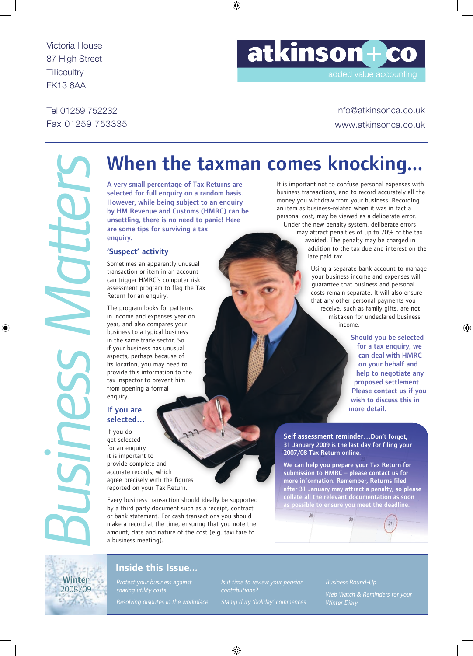Victoria House 87 High Street **Tillicoultry** FK13 6AA

# atkinson+co

added value accounting

Tel 01259 752232 Fax 01259 753335

info@atkinsonca.co.uk www.atkinsonca.co.uk

# *Business Matters Business Matters*

# When the taxman comes knocking...

A very small percentage of Tax Returns are selected for full enquiry on a random basis. However, while being subject to an enquiry by HM Revenue and Customs (HMRC) can be unsettling, there is no need to panic! Here are some tips for surviving a tax enquiry.

### 'Suspect' activity

Sometimes an apparently unusual transaction or item in an account can trigger HMRC's computer risk assessment program to flag the Tax Return for an enquiry.

The program looks for patterns in income and expenses year on year, and also compares your business to a typical business in the same trade sector. So if your business has unusual aspects, perhaps because of its location, you may need to provide this information to the tax inspector to prevent him from opening a formal enquiry.

### If you are selected…

If you do get selected for an enquiry it is important to provide complete and accurate records, which agree precisely with the figures reported on your Tax Return.

Every business transaction should ideally be supported by a third party document such as a receipt, contract or bank statement. For cash transactions you should make a record at the time, ensuring that you note the amount, date and nature of the cost (e.g. taxi fare to a business meeting).

It is important not to confuse personal expenses with business transactions, and to record accurately all the money you withdraw from your business. Recording an item as business-related when it was in fact a personal cost, may be viewed as a deliberate error. Under the new penalty system, deliberate errors

> may attract penalties of up to 70% of the tax avoided. The penalty may be charged in addition to the tax due and interest on the late paid tax.

> > Using a separate bank account to manage your business income and expenses will guarantee that business and personal costs remain separate. It will also ensure that any other personal payments you receive, such as family gifts, are not mistaken for undeclared business income.

> > > Should you be selected for a tax enquiry, we can deal with HMRC on your behalf and help to negotiate any proposed settlement. Please contact us if you wish to discuss this in more detail.

Self assessment reminder…Don't forget, 31 January 2009 is the last day for filing your 2007/08 Tax Return online.

We can help you prepare your Tax Return for submission to HMRC – please contact us for more information. Remember, Returns filed after 31 January may attract a penalty, so please collate all the relevant documentation as soon as possible to ensure you meet the deadline.





### Inside this Issue...

Protect your business against Resolving disputes in the workplace contributions?

ł

Business Round-Up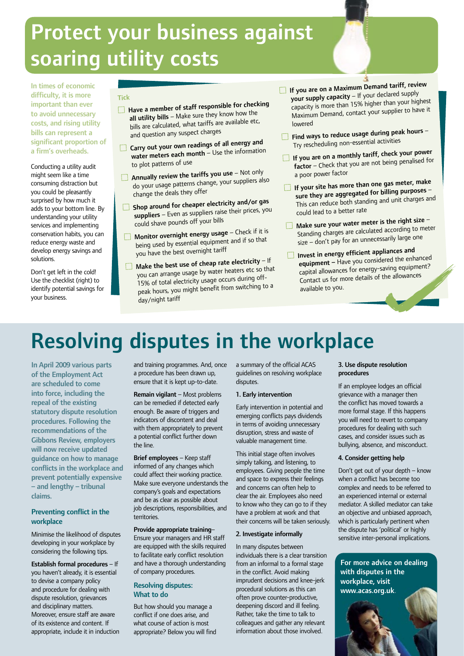# Protect your business against soaring utility costs

In times of economic difficulty, it is more important than ever to avoid unnecessary costs, and rising utility bills can represent a significant proportion of a firm's overheads.

Conducting a utility audit might seem like a time consuming distraction but you could be pleasantly surprised by how much it adds to your bottom line. By understanding your utility services and implementing conservation habits, you can reduce energy waste and develop energy savings and solutions.

Don't get left in the cold! Use the checklist (right) to identify potential savings for your business.

### Tick

- $\Box$  Have a member of staff responsible for checking all utility bills – Make sure they know how the bills are calculated, what tariffs are available etc, and question any suspect charges
- **Carry out your own readings of all energy and** water meters each month – Use the information to plot patterns of use
- $\Box$  Annually review the tariffs you use Not only do your usage patterns change, your suppliers also change the deals they offer
- $\Box$  Shop around for cheaper electricity and/or gas suppliers – Even as suppliers raise their prices, you could shave pounds off your bills
- $\Box$  Monitor overnight energy usage Check if it is being used by essential equipment and if so that you have the best overnight tariff
- $\Box$  Make the best use of cheap rate electricity If you can arrange usage by water heaters etc so that 15% of total electricity usage occurs during offpeak hours, you might benefit from switching to a day/night tariff
- $\Box$  If you are on a Maximum Demand tariff, review your supply capacity – If your declared supply capacity is more than 15% higher than your highest Maximum Demand, contact your supplier to have it lowered
- $\Box$  Find ways to reduce usage during peak hours -Try rescheduling non-essential activities
- $\Box$  If you are on a monthly tariff, check your power factor – Check that you are not being penalised for a poor power factor
- $\Box$  If your site has more than one gas meter, make sure they are aggregated for billing purposes -This can reduce both standing and unit charges an<sup>d</sup> could lead to a better rate
- $\Box$  Make sure your water meter is the right size -Standing charges are calculated according to meter size – don't pay for an unnecessarily large one
- $\Box$  Invest in energy efficient appliances and equipment – Have you considered the enhance<sup>d</sup> capital allowances for energy-saving equipment? Contact us for more details of the allowances available to you.

# Resolving disputes in the workplace

In April 2009 various parts of the Employment Act are scheduled to come into force, including the repeal of the existing statutory dispute resolution procedures. Following the recommendations of the Gibbons Review, employers will now receive updated guidance on how to manage conflicts in the workplace and prevent potentially expensive – and lengthy – tribunal claims.

### Preventing conflict in the workplace

Minimise the likelihood of disputes developing in your workplace by considering the following tips.

Establish formal procedures – If you haven't already, it is essential to devise a company policy and procedure for dealing with dispute resolution, grievances and disciplinary matters. Moreover, ensure staff are aware of its existence and content. If appropriate, include it in induction

and training programmes. And, once a procedure has been drawn up, ensure that it is kept up-to-date.

Remain vigilant – Most problems can be remedied if detected early enough. Be aware of triggers and indicators of discontent and deal with them appropriately to prevent a potential conflict further down the line.

Brief employees – Keep staff informed of any changes which could affect their working practice. Make sure everyone understands the company's goals and expectations and be as clear as possible about job descriptions, responsibilities, and territories.

Provide appropriate training– Ensure your managers and HR staff are equipped with the skills required to facilitate early conflict resolution and have a thorough understanding of company procedures.

### Resolving disputes: What to do

But how should you manage a conflict if one does arise, and what course of action is most appropriate? Below you will find a summary of the official ACAS guidelines on resolving workplace disputes.

### 1. Early intervention

Early intervention in potential and emerging conflicts pays dividends in terms of avoiding unnecessary disruption, stress and waste of valuable management time.

This initial stage often involves simply talking, and listening, to employees. Giving people the time and space to express their feelings and concerns can often help to clear the air. Employees also need to know who they can go to if they have a problem at work and that their concerns will be taken seriously.

### 2. Investigate informally

In many disputes between individuals there is a clear transition from an informal to a formal stage in the conflict. Avoid making imprudent decisions and knee-jerk procedural solutions as this can often prove counter-productive, deepening discord and ill feeling. Rather, take the time to talk to colleagues and gather any relevant information about those involved.

### 3. Use dispute resolution procedures

If an employee lodges an official grievance with a manager then the conflict has moved towards a more formal stage. If this happens you will need to revert to company procedures for dealing with such cases, and consider issues such as bullying, absence, and misconduct.

### 4. Consider getting help

Don't get out of your depth – know when a conflict has become too complex and needs to be referred to an experienced internal or external mediator. A skilled mediator can take an objective and unbiased approach, which is particularly pertinent when the dispute has 'political' or highly sensitive inter-personal implications.

### For more advice on dealing with disputes in the workplace, visit www.acas.org.uk.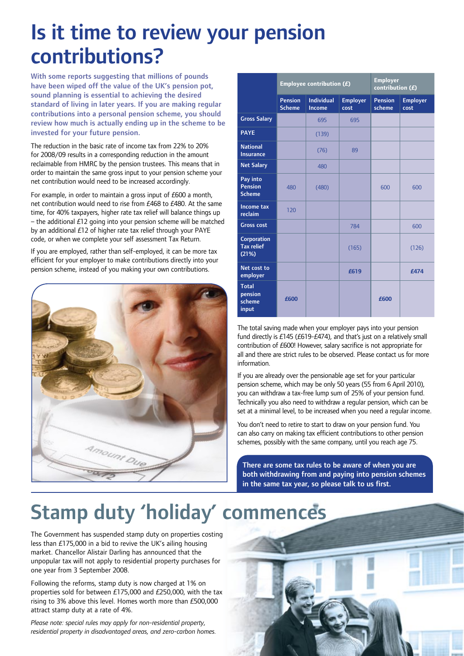# Is it time to review your pension contributions?

With some reports suggesting that millions of pounds have been wiped off the value of the UK's pension pot, sound planning is essential to achieving the desired standard of living in later years. If you are making regular contributions into a personal pension scheme, you should review how much is actually ending up in the scheme to be invested for your future pension.

The reduction in the basic rate of income tax from 22% to 20% for 2008/09 results in a corresponding reduction in the amount reclaimable from HMRC by the pension trustees. This means that in order to maintain the same gross input to your pension scheme your net contribution would need to be increased accordingly.

For example, in order to maintain a gross input of £600 a month, net contribution would need to rise from £468 to £480. At the same time, for 40% taxpayers, higher rate tax relief will balance things up  $-$  the additional £12 going into your pension scheme will be matched by an additional £12 of higher rate tax relief through your PAYE code, or when we complete your self assessment Tax Return.

If you are employed, rather than self-employed, it can be more tax efficient for your employer to make contributions directly into your pension scheme, instead of you making your own contributions.



|                                             | Employee contribution $(E)$     |                             |                         | <b>Employer</b><br>contribution (£) |                         |
|---------------------------------------------|---------------------------------|-----------------------------|-------------------------|-------------------------------------|-------------------------|
|                                             | <b>Pension</b><br><b>Scheme</b> | <b>Individual</b><br>Income | <b>Employer</b><br>cost | <b>Pension</b><br>scheme            | <b>Employer</b><br>cost |
| <b>Gross Salary</b>                         |                                 | 695                         | 695                     |                                     |                         |
| <b>PAYE</b>                                 |                                 | (139)                       |                         |                                     |                         |
| <b>National</b><br><b>Insurance</b>         |                                 | (76)                        | 89                      |                                     |                         |
| <b>Net Salary</b>                           |                                 | 480                         |                         |                                     |                         |
| Pay into<br><b>Pension</b><br><b>Scheme</b> | 480                             | (480)                       |                         | 600                                 | 600                     |
| Income tax<br>reclaim                       | 120                             |                             |                         |                                     |                         |
| <b>Gross cost</b>                           |                                 |                             | 784                     |                                     | 600                     |
| Corporation<br><b>Tax relief</b><br>(21%)   |                                 |                             | (165)                   |                                     | (126)                   |
| Net cost to<br>employer                     |                                 |                             | £619                    |                                     | £474                    |
| <b>Total</b><br>pension<br>scheme<br>input  | £600                            |                             |                         | £600                                |                         |

The total saving made when your employer pays into your pension fund directly is £145 (£619-£474), and that's just on a relatively small contribution of £600! However, salary sacrifice is not appropriate for all and there are strict rules to be observed. Please contact us for more information.

If you are already over the pensionable age set for your particular pension scheme, which may be only 50 years (55 from 6 April 2010), you can withdraw a tax-free lump sum of 25% of your pension fund. Technically you also need to withdraw a regular pension, which can be set at a minimal level, to be increased when you need a regular income.

You don't need to retire to start to draw on your pension fund. You can also carry on making tax efficient contributions to other pension schemes, possibly with the same company, until you reach age 75.

There are some tax rules to be aware of when you are both withdrawing from and paying into pension schemes in the same tax year, so please talk to us first.

# Stamp duty 'holiday' commences

The Government has suspended stamp duty on properties costing less than £175,000 in a bid to revive the UK's ailing housing market. Chancellor Alistair Darling has announced that the unpopular tax will not apply to residential property purchases for one year from 3 September 2008.

Following the reforms, stamp duty is now charged at 1% on properties sold for between £175,000 and £250,000, with the tax rising to 3% above this level. Homes worth more than £500,000 attract stamp duty at a rate of 4%.

*Please note: special rules may apply for non-residential property, residential property in disadvantaged areas, and zero-carbon homes.*